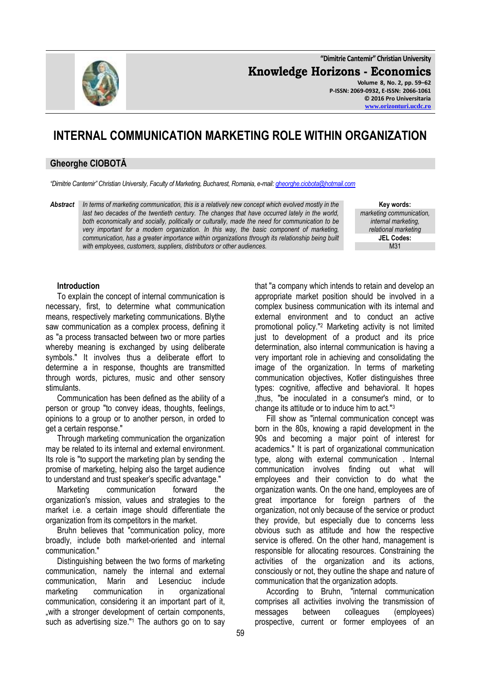**"Dimitrie Cantemir" Christian University**

**Knowledge Horizons - Economics**

**Volume 8, No. 2, pp. 59–62 P-ISSN: 2069-0932, E-ISSN: 2066-1061 © 2016 Pro Universitaria [www.orizonturi.ucdc.ro](http://www.orizonturi.ucdc.ro/)**

## **INTERNAL COMMUNICATION MARKETING ROLE WITHIN ORGANIZATION**

## **Gheorghe CIOBOTĂ**

*"Dimitrie Cantemir" Christian University, Faculty of Marketing, Bucharest, Romania, e-mail[: gheorghe.ciobota@hotmail.com](mailto:gheorghe.ciobota@hotmail.com)*

*Abstract In terms of marketing communication, this is a relatively new concept which evolved mostly in the*  last two decades of the twentieth century. The changes that have occurred lately in the world, *both economically and socially, politically or culturally, made the need for communication to be very important for a modern organization. In this way, the basic component of marketing, communication, has a greater importance within organizations through its relationship being built with employees, customers, suppliers, distributors or other audiences.*

**Key words:** *marketing communication, internal marketing, relational marketing* **JEL Codes:** M31

## **Introduction**

To explain the concept of internal communication is necessary, first, to determine what communication means, respectively marketing communications. Blythe saw communication as a complex process, defining it as "a process transacted between two or more parties whereby meaning is exchanged by using deliberate symbols." It involves thus a deliberate effort to determine a in response, thoughts are transmitted through words, pictures, music and other sensory stimulants.

Communication has been defined as the ability of a person or group "to convey ideas, thoughts, feelings, opinions to a group or to another person, in orded to get a certain response."

Through marketing communication the organization may be related to its internal and external environment. Its role is "to support the marketing plan by sending the promise of marketing, helping also the target audience to understand and trust speaker's specific advantage."

Marketing communication forward the organization's mission, values and strategies to the market i.e. a certain image should differentiate the organization from its competitors in the market.

Bruhn believes that "communication policy, more broadly, include both market-oriented and internal communication."

Distinguishing between the two forms of marketing communication, namely the internal and external communication, Marin and Lesenciuc include marketing communication in organizational communication, considering it an important part of it, "with a stronger development of certain components, such as advertising size."<sup>1</sup> The authors go on to say

that "a company which intends to retain and develop an appropriate market position should be involved in a complex business communication with its internal and external environment and to conduct an active promotional policy."<sup>2</sup> Marketing activity is not limited just to development of a product and its price determination, also internal communication is having a very important role in achieving and consolidating the image of the organization. In terms of marketing communication objectives, Kotler distinguishes three types: cognitive, affective and behavioral. It hopes ,thus, "be inoculated in a consumer's mind, or to change its attitude or to induce him to act."[3](#page-3-0)

Fill show as "internal communication concept was born in the 80s, knowing a rapid development in the 90s and becoming a major point of interest for academics." It is part of organizational communication type, along with external communication . Internal communication involves finding out what will employees and their conviction to do what the organization wants. On the one hand, employees are of great importance for foreign partners of the organization, not only because of the service or product they provide, but especially due to concerns less obvious such as attitude and how the respective service is offered. On the other hand, management is responsible for allocating resources. Constraining the activities of the organization and its actions, consciously or not, they outline the shape and nature of communication that the organization adopts.

According to Bruhn, "internal communication comprises all activities involving the transmission of messages between colleagues (employees) prospective, current or former employees of an

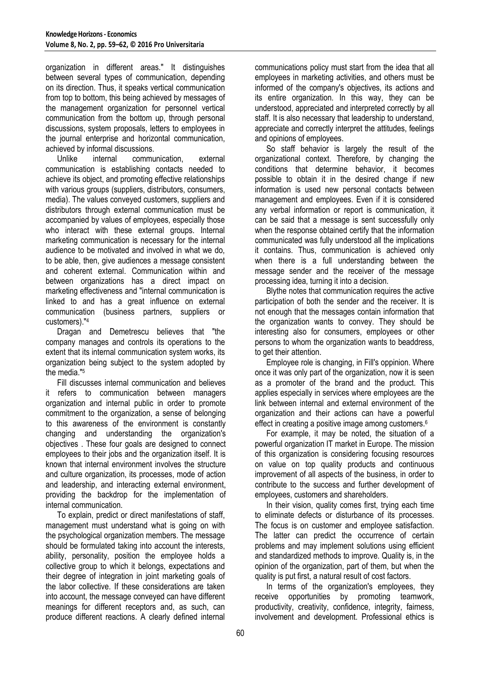organization in different areas." It distinguishes between several types of communication, depending on its direction. Thus, it speaks vertical communication from top to bottom, this being achieved by messages of the management organization for personnel vertical communication from the bottom up, through personal discussions, system proposals, letters to employees in the journal enterprise and horizontal communication, achieved by informal discussions.

Unlike internal communication, external communication is establishing contacts needed to achieve its object, and promoting effective relationships with various groups (suppliers, distributors, consumers, media). The values conveyed customers, suppliers and distributors through external communication must be accompanied by values of employees, especially those who interact with these external groups. Internal marketing communication is necessary for the internal audience to be motivated and involved in what we do, to be able, then, give audiences a message consistent and coherent external. Communication within and between organizations has a direct impact on marketing effectiveness and "internal communication is linked to and has a great influence on external communication (business partners, suppliers or customers)."[4](#page-3-1)

Dragan and Demetrescu believes that "the company manages and controls its operations to the extent that its internal communication system works, its organization being subject to the system adopted by the media.["](#page-3-1)<sup>5</sup>

Fill discusses internal communication and believes it refers to communication between managers organization and internal public in order to promote commitment to the organization, a sense of belonging to this awareness of the environment is constantly changing and understanding the organization's objectives . These four goals are designed to connect employees to their jobs and the organization itself. It is known that internal environment involves the structure and culture organization, its processes, mode of action and leadership, and interacting external environment, providing the backdrop for the implementation of internal communication.

To explain, predict or direct manifestations of staff, management must understand what is going on with the psychological organization members. The message should be formulated taking into account the interests, ability, personality, position the employee holds a collective group to which it belongs, expectations and their degree of integration in joint marketing goals of the labor collective. If these considerations are taken into account, the message conveyed can have different meanings for different receptors and, as such, can produce different reactions. A clearly defined internal

communications policy must start from the idea that all employees in marketing activities, and others must be informed of the company's objectives, its actions and its entire organization. In this way, they can be understood, appreciated and interpreted correctly by all staff. It is also necessary that leadership to understand, appreciate and correctly interpret the attitudes, feelings and opinions of employees.

So staff behavior is largely the result of the organizational context. Therefore, by changing the conditions that determine behavior, it becomes possible to obtain it in the desired change if new information is used new personal contacts between management and employees. Even if it is considered any verbal information or report is communication, it can be said that a message is sent successfully only when the response obtained certify that the information communicated was fully understood all the implications it contains. Thus, communication is achieved only when there is a full understanding between the message sender and the receiver of the message processing idea, turning it into a decision.

Blythe notes that communication requires the active participation of both the sender and the receiver. It is not enough that the messages contain information that the organization wants to convey. They should be interesting also for consumers, employees or other persons to whom the organization wants to beaddress, to get their attention.

Employee role is changing, in Fill's oppinion. Where once it was only part of the organization, now it is seen as a promoter of the brand and the product. This applies especially in services where employees are the link between internal and external environment of the organization and their actions can have a powerful effect in creating a positive image among customers[.](#page-3-2)<sup>6</sup>

For example, it may be noted, the situation of a powerful organization IT market in Europe. The mission of this organization is considering focusing resources on value on top quality products and continuous improvement of all aspects of the business, in order to contribute to the success and further development of employees, customers and shareholders.

In their vision, quality comes first, trying each time to eliminate defects or disturbance of its processes. The focus is on customer and employee satisfaction. The latter can predict the occurrence of certain problems and may implement solutions using efficient and standardized methods to improve. Quality is, in the opinion of the organization, part of them, but when the quality is put first, a natural result of cost factors.

In terms of the organization's employees, they receive opportunities by promoting teamwork, productivity, creativity, confidence, integrity, fairness, involvement and development. Professional ethics is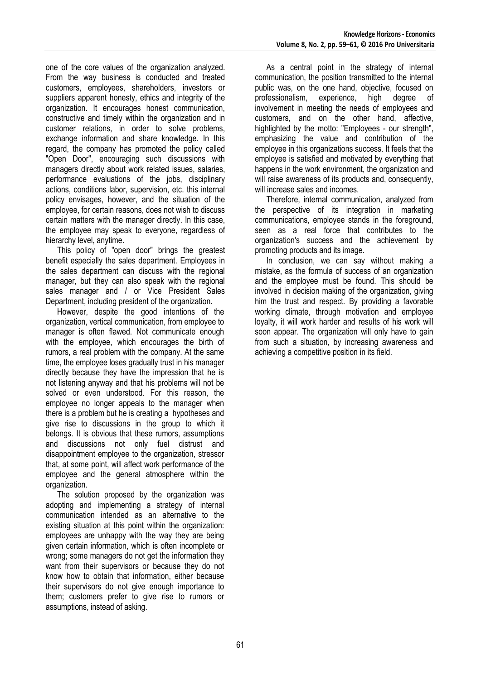one of the core values of the organization analyzed. From the way business is conducted and treated customers, employees, shareholders, investors or suppliers apparent honesty, ethics and integrity of the organization. It encourages honest communication, constructive and timely within the organization and in customer relations, in order to solve problems, exchange information and share knowledge. In this regard, the company has promoted the policy called "Open Door", encouraging such discussions with managers directly about work related issues, salaries, performance evaluations of the jobs, disciplinary actions, conditions labor, supervision, etc. this internal policy envisages, however, and the situation of the employee, for certain reasons, does not wish to discuss certain matters with the manager directly. In this case, the employee may speak to everyone, regardless of hierarchy level, anytime.

This policy of "open door" brings the greatest benefit especially the sales department. Employees in the sales department can discuss with the regional manager, but they can also speak with the regional sales manager and / or Vice President Sales Department, including president of the organization.

However, despite the good intentions of the organization, vertical communication, from employee to manager is often flawed. Not communicate enough with the employee, which encourages the birth of rumors, a real problem with the company. At the same time, the employee loses gradually trust in his manager directly because they have the impression that he is not listening anyway and that his problems will not be solved or even understood. For this reason, the employee no longer appeals to the manager when there is a problem but he is creating a hypotheses and give rise to discussions in the group to which it belongs. It is obvious that these rumors, assumptions and discussions not only fuel distrust and disappointment employee to the organization, stressor that, at some point, will affect work performance of the employee and the general atmosphere within the organization.

The solution proposed by the organization was adopting and implementing a strategy of internal communication intended as an alternative to the existing situation at this point within the organization: employees are unhappy with the way they are being given certain information, which is often incomplete or wrong; some managers do not get the information they want from their supervisors or because they do not know how to obtain that information, either because their supervisors do not give enough importance to them; customers prefer to give rise to rumors or assumptions, instead of asking.

As a central point in the strategy of internal communication, the position transmitted to the internal public was, on the one hand, objective, focused on professionalism, experience, high degree of involvement in meeting the needs of employees and customers, and on the other hand, affective, highlighted by the motto: "Employees - our strength", emphasizing the value and contribution of the employee in this organizations success. It feels that the employee is satisfied and motivated by everything that happens in the work environment, the organization and will raise awareness of its products and, consequently, will increase sales and incomes.

Therefore, internal communication, analyzed from the perspective of its integration in marketing communications, employee stands in the foreground, seen as a real force that contributes to the organization's success and the achievement by promoting products and its image.

In conclusion, we can say without making a mistake, as the formula of success of an organization and the employee must be found. This should be involved in decision making of the organization, giving him the trust and respect. By providing a favorable working climate, through motivation and employee loyalty, it will work harder and results of his work will soon appear. The organization will only have to gain from such a situation, by increasing awareness and achieving a competitive position in its field.